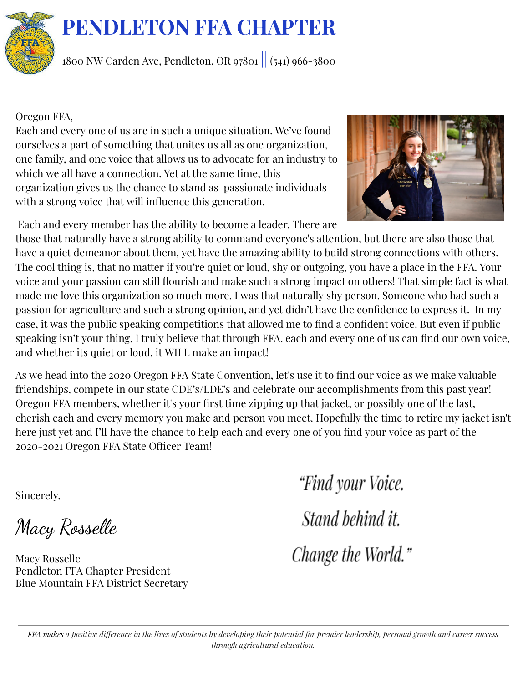

<sup>1800</sup> NW Carden Ave, Pendleton, OR <sup>97801</sup> || (541) 966-3800

# Oregon FFA,

Each and every one of us are in such a unique situation. We've found ourselves a part of something that unites us all as one organization, one family, and one voice that allows us to advocate for an industry to which we all have a connection. Yet at the same time, this organization gives us the chance to stand as passionate individuals with a strong voice that will influence this generation.



Each and every member has the ability to become a leader. There are

those that naturally have a strong ability to command everyone's attention, but there are also those that have a quiet demeanor about them, yet have the amazing ability to build strong connections with others. The cool thing is, that no matter if you're quiet or loud, shy or outgoing, you have a place in the FFA. Your voice and your passion can still flourish and make such a strong impact on others! That simple fact is what made me love this organization so much more. I was that naturally shy person. Someone who had such a passion for agriculture and such a strong opinion, and yet didn't have the confidence to express it. In my case, it was the public speaking competitions that allowed me to find a confident voice. But even if public speaking isn't your thing, I truly believe that through FFA, each and every one of us can find our own voice, and whether its quiet or loud, it WILL make an impact!

As we head into the 2020 Oregon FFA State Convention, let's use it to find our voice as we make valuable friendships, compete in our state CDE's/LDE's and celebrate our accomplishments from this past year! Oregon FFA members, whether it's your first time zipping up that jacket, or possibly one of the last, cherish each and every memory you make and person you meet. Hopefully the time to retire my jacket isn't here just yet and I'll have the chance to help each and every one of you find your voice as part of the 2020-2021 Oregon FFA State Officer Team!

Sincerely,

Macy Rosselle

Macy Rosselle Pendleton FFA Chapter President Blue Mountain FFA District Secretary

"Find your Voice. Stand behind it. Change the World."

FFA makes a positive difference in the lives of students by developing their potential for premier leadership, personal growth and career success *through agricultural education.*